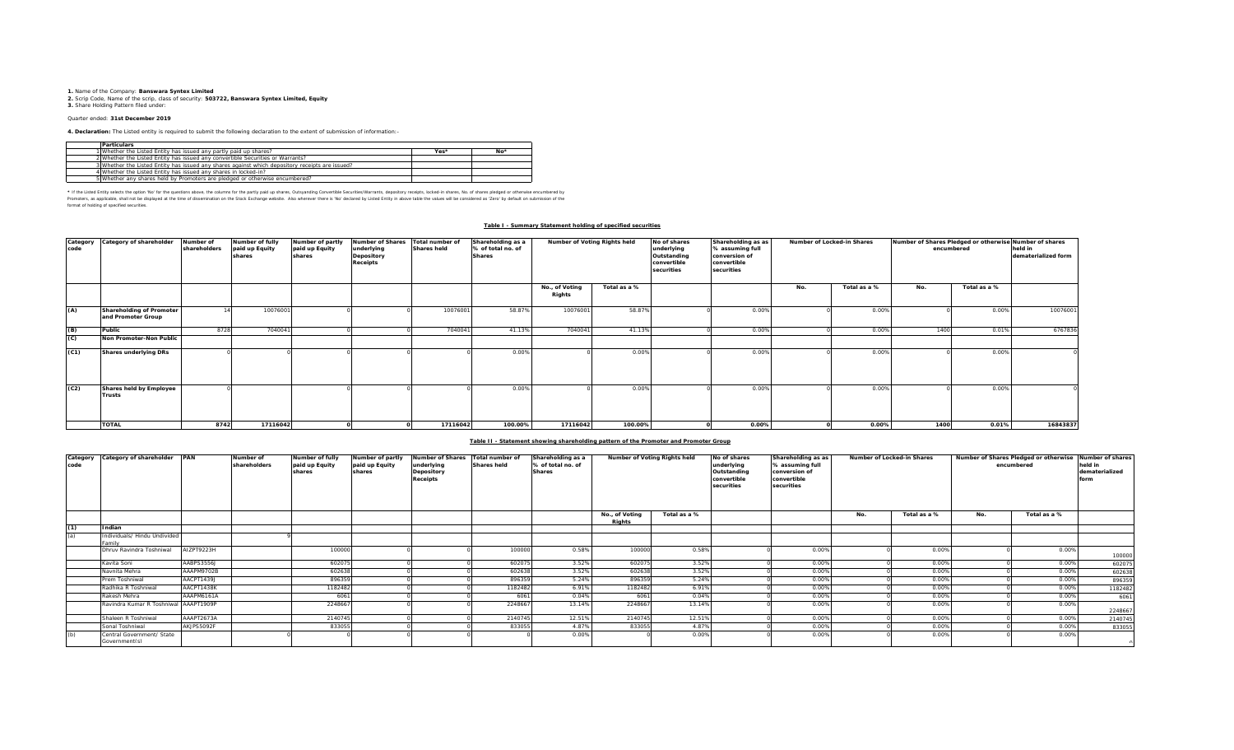**1.** Name of the Company: **Banswara Syntex Limited 2.** Scrip Code, Name of the scrip, class of security: **503722, Banswara Syntex Limited, Equity 3.** Share Holding Pattern filed under:

## Quarter ended: **31st December 2019**

**4. Declaration:** The Listed entity is required to submit the following declaration to the extent of submission of information:-

| <b>Particulars</b>                                                                              |      |       |
|-------------------------------------------------------------------------------------------------|------|-------|
| 1 Whether the Listed Entity has issued any partly paid up shares?                               | Yes* | $No*$ |
| 2 Whether the Listed Entity has issued any convertible Securities or Warrants?                  |      |       |
| 3 Whether the Listed Entity has issued any shares against which depository receipts are issued? |      |       |
| 4 Whether the Listed Entity has issued any shares in locked-in?                                 |      |       |
| 5 Whether any shares held by Promoters are pledged or otherwise encumbered?                     |      |       |

\* If ne Listed Ently selects ine opton War for the equasitons above, the outwars for the partly share, Quityandng Convertible Securities/Warrants, depository receipts, boked-in shares, No. of shares predget or otherwise in format of holding of specified securities.

### **Table I - Summary Statement holding of specified securities**

| Category<br>code | Category of shareholder                        | Number of<br>shareholders | Number of fully<br>paid up Equity<br>shares | Number of partly<br>paid up Equity<br>shares | <b>Number of Shares</b><br>underlying<br>Depository<br>Receipts | Total number of<br><b>Shares held</b> | Shareholding as a<br>% of total no. of<br><b>Shares</b> | Number of Voting Rights held |              | No of shares<br>underlying<br>Outstanding<br>convertible<br>securities | Shareholding as as<br>% assuming full<br>conversion of<br>convertible<br>securities |     | Number of Locked-in Shares | Number of Shares Pledged or otherwise Number of shares<br>encumbered | held in<br>dematerialized form |          |
|------------------|------------------------------------------------|---------------------------|---------------------------------------------|----------------------------------------------|-----------------------------------------------------------------|---------------------------------------|---------------------------------------------------------|------------------------------|--------------|------------------------------------------------------------------------|-------------------------------------------------------------------------------------|-----|----------------------------|----------------------------------------------------------------------|--------------------------------|----------|
|                  |                                                |                           |                                             |                                              |                                                                 |                                       |                                                         | No., of Voting<br>Rights     | Total as a % |                                                                        |                                                                                     | No. | Total as a %               | No.                                                                  | Total as a %                   |          |
| (A)              | Shareholding of Promoter<br>and Promoter Group |                           | 10076001                                    |                                              |                                                                 | 10076001                              | 58.87%                                                  | 10076001                     | 58.87%       |                                                                        | 0.00%                                                                               |     | 0.00%                      |                                                                      | 0.00%                          | 10076001 |
| (B)              | Public                                         | 8728                      | 7040041                                     |                                              |                                                                 | 7040041                               | 41.13%                                                  | 7040041                      | 41.13%       |                                                                        | 0.00%                                                                               |     | 0.00%                      | 1400                                                                 | 0.01%                          | 6767836  |
| (C)              | Non Promoter-Non Public                        |                           |                                             |                                              |                                                                 |                                       |                                                         |                              |              |                                                                        |                                                                                     |     |                            |                                                                      |                                |          |
| (C1)             | Shares underlying DRs                          |                           |                                             |                                              |                                                                 |                                       | 0.009                                                   |                              | 0.00%        |                                                                        | 0.00%                                                                               |     | 0.00%                      |                                                                      | 0.00%                          |          |
| (C2)             | Shares held by Employee<br>Trusts              |                           |                                             |                                              |                                                                 |                                       | 0.009                                                   |                              | 0.00%        |                                                                        | 0.00%                                                                               |     | 0.00%                      |                                                                      | 0.00%                          |          |
|                  | <b>TOTAL</b>                                   | 8742                      | 17116042                                    |                                              |                                                                 | 17116042                              | 100.00%                                                 | 17116042                     | 100.00%      |                                                                        | $0.00\%$                                                                            |     | 0.00%                      | 1400                                                                 | 0.01%                          | 16843837 |

## **Table II - Statement showing shareholding pattern of the Promoter and Promoter Group**

| Category<br>code | Category of shareholder PAN               |            | Number of<br>shareholders | Number of fully<br>paid up Equity<br>shares | Number of partly<br>paid up Equity<br>shares | <b>Number of Shares</b><br>underlying<br>Depository<br><b>Receipts</b> | Total number of<br><b>Shares held</b> | Shareholding as a<br>% of total no. of<br><b>Shares</b> | Number of Voting Rights held |              | No of shares<br>underlying<br>Outstanding<br>convertible<br>securities | Shareholding as as<br>% assuming full<br>conversion of<br>convertible<br>securities | Number of Locked-in Shares |              |     | Number of Shares Pledged or otherwise<br>encumbered | Number of shares<br>held in<br>dematerialized<br>form |
|------------------|-------------------------------------------|------------|---------------------------|---------------------------------------------|----------------------------------------------|------------------------------------------------------------------------|---------------------------------------|---------------------------------------------------------|------------------------------|--------------|------------------------------------------------------------------------|-------------------------------------------------------------------------------------|----------------------------|--------------|-----|-----------------------------------------------------|-------------------------------------------------------|
|                  |                                           |            |                           |                                             |                                              |                                                                        |                                       |                                                         | No., of Voting<br>Rights     | Total as a % |                                                                        |                                                                                     | No.                        | Total as a % | No. | Total as a %                                        |                                                       |
| (1)              | Indian                                    |            |                           |                                             |                                              |                                                                        |                                       |                                                         |                              |              |                                                                        |                                                                                     |                            |              |     |                                                     |                                                       |
| (a)              | Individuals/ Hindu Undivided<br>amily     |            |                           |                                             |                                              |                                                                        |                                       |                                                         |                              |              |                                                                        |                                                                                     |                            |              |     |                                                     |                                                       |
|                  | Dhruv Ravindra Toshniwal                  | AIZPT9223H |                           | 100000                                      |                                              |                                                                        | 100000                                | 0.58%                                                   | 100000                       | 0.58%        |                                                                        | 0.00%                                                                               |                            | 0.00%        |     | 0.00%                                               | 100000                                                |
|                  | Kavita Soni                               | AABPS3556J |                           | 602075                                      |                                              |                                                                        | 602075                                | 3.52%                                                   | 60207                        | 3.52%        |                                                                        | 0.00%                                                                               |                            | 0.00%        |     | 0.00%                                               | 602075                                                |
|                  | Navnita Mehra                             | AAAPM9702B |                           | 602638                                      |                                              |                                                                        | 602638                                | 3.52%                                                   | 60263                        | 3.52%        |                                                                        | 0.00%                                                                               |                            | 0.00%        |     | 0.00%                                               | 602638                                                |
|                  | Prem Toshniwal                            | AACPT1439J |                           | 896359                                      |                                              |                                                                        | 896359                                | 5.24%                                                   | 896359                       | 5.24%        |                                                                        | 0.00%                                                                               |                            | 0.00%        |     | 0.00%                                               | 896359                                                |
|                  | Radhika R Toshniwal                       | AACPT1438K |                           | 1182482                                     |                                              |                                                                        | 1182482                               | 6.91%                                                   | 1182482                      | 6.91%        |                                                                        | 0.00%                                                                               |                            | 0.00%        |     | 0.00%                                               | 1182482                                               |
|                  | Rakesh Mehra                              | AAAPM6161A |                           | 606                                         |                                              |                                                                        | 606                                   | 0.04%                                                   | 6061                         | 0.04%        |                                                                        | 0.00%                                                                               |                            | 0.00%        |     | 0.00%                                               | 6061                                                  |
|                  | Ravindra Kumar R Toshniwal AAAPT1909P     |            |                           | 224866                                      |                                              |                                                                        | 224866                                | 13.14%                                                  | 2248667                      | 13.14%       |                                                                        | 0.00%                                                                               |                            | 0.00%        |     | 0.00%                                               | 2248667                                               |
|                  | Shaleen R Toshniwal                       | AAAPT2673A |                           | 2140745                                     |                                              |                                                                        | 2140745                               | 12.51%                                                  | 2140745                      | 12.51%       |                                                                        | 0.00%                                                                               |                            | 0.00%        |     | 0.00%                                               | 2140745                                               |
|                  | Sonal Toshniwal                           | AKJPS5092F |                           | 833055                                      |                                              |                                                                        | 833055                                | 4.87%                                                   | 83305                        | 4.87%        |                                                                        | 0.00%                                                                               |                            | 0.00%        |     | 0.00%                                               | 833055                                                |
|                  | Central Government/ State<br>Goverment(s) |            |                           |                                             |                                              |                                                                        |                                       | 0.00%                                                   |                              | 0.00%        |                                                                        | 0.00%                                                                               |                            | 0.00%        |     | 0.009                                               |                                                       |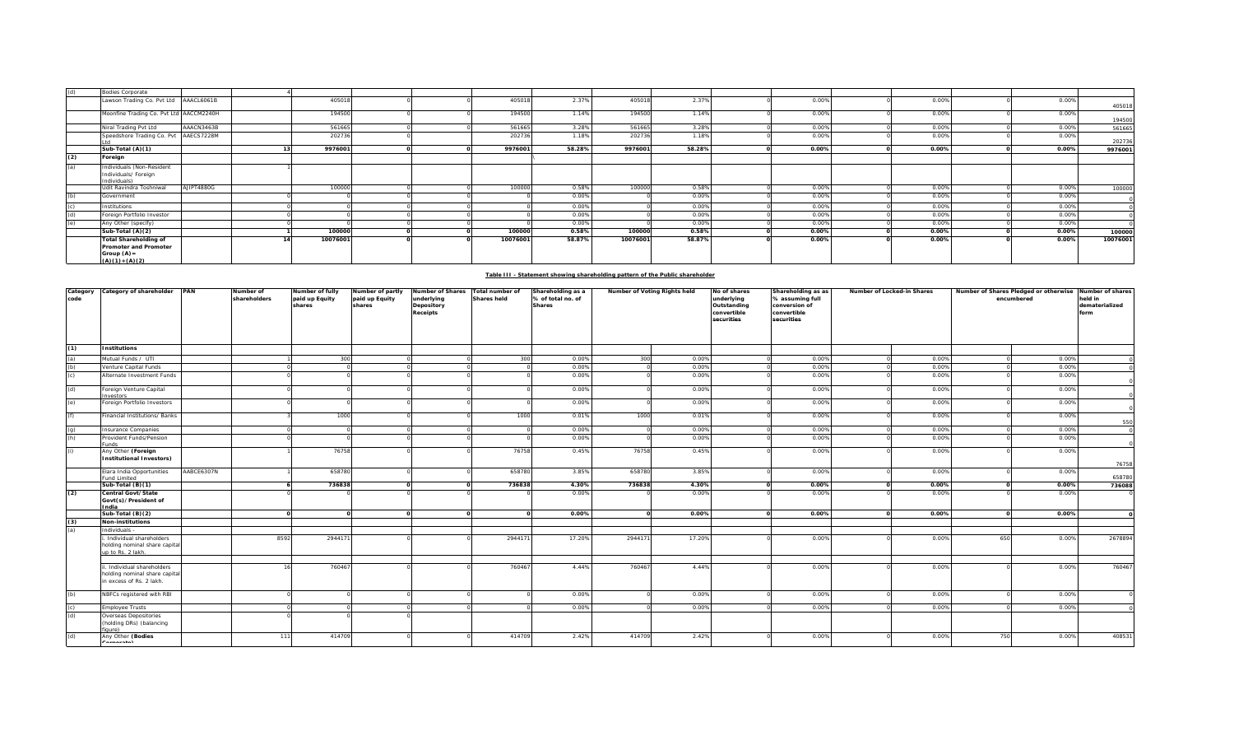| (d) | <b>Bodies Corporate</b>                                                                   |            |          |  |          |        |          |        |       |       |          |          |
|-----|-------------------------------------------------------------------------------------------|------------|----------|--|----------|--------|----------|--------|-------|-------|----------|----------|
|     | Lawson Trading Co. Pvt Ltd AAACL6061B                                                     |            | 405018   |  | 405018   | 2.37%  | 405018   | 2.37%  | 0.00% | 0.00% | 0.00%    | 405018   |
|     | Moonfine Trading Co. Pvt Ltd AACCM2240H                                                   |            | 194500   |  | 194500   | 1.14%  | 194500   | 1.14%  | 0.00% | 0.00% | 0.00%    | 194500   |
|     | Niral Trading Pvt Ltd                                                                     | AAACN3463B | 561665   |  | 561665   | 3.28%  | 561665   | 3.28%  | 0.00% | 0.00% | 0.00%    | 561665   |
|     | Speedshore Trading Co. Pvt AAECS7228M                                                     |            | 202736   |  | 202736   | 1.18%  | 202736   | 1.18%  | 0.00% | 0.00% | 0.00%    | 202736   |
|     | Sub-Total (A)(1)                                                                          |            | 9976001  |  | 9976001  | 58.28% | 9976001  | 58.28% | 0.00% | 0.00% | 0.00%    | 9976001  |
| (2) | Foreign                                                                                   |            |          |  |          |        |          |        |       |       |          |          |
| (a) | Individuals (Non-Resident<br>Individuals/ Foreign<br>Individuals)                         |            |          |  |          |        |          |        |       |       |          |          |
|     | Udit Ravindra Toshniwal                                                                   | AJIPT4880G | 100000   |  | 100000   | 0.58%  | 100000   | 0.58%  | 0.00% | 0.00% | 0.00%    | 100000   |
| (h) | Government                                                                                |            |          |  |          | 0.00%  |          | 0.00%  | 0.00% | 0.00% | 0.00%    |          |
|     | Institutions                                                                              |            |          |  |          | 0.00%  |          | 0.00%  | 0.00% | 0.00% | 0.00%    |          |
|     | Foreign Portfolio Investor                                                                |            |          |  |          | 0.00%  |          | 0.00%  | 0.00% | 0.00% | 0.00%    |          |
|     | Any Other (specify)                                                                       |            |          |  |          | 0.00%  |          | 0.00%  | 0.00% | 0.00% | 0.00%    |          |
|     | Sub-Total (A)(2)                                                                          |            | 100000   |  | 100000   | 0.58%  | 100000   | 0.58%  | 0.00% | 0.00% | $0.00\%$ | 100000   |
|     | <b>Total Shareholding of</b><br>Promoter and Promoter<br>Group $(A)$ =<br>$(A)(1)+(A)(2)$ |            | 10076001 |  | 10076001 | 58.87% | 10076001 | 58.87% | 0.00% | 0.00% | 0.00%    | 10076001 |

## **Table III - Statement showing shareholding pattern of the Public shareholder**

| Category<br>code  | Category of shareholder PAN                                                   |            | Number of<br>shareholders | Number of fully<br>paid up Equity<br>shares | Number of partly<br>paid up Equity<br>shares | Number of Shares<br>underlying<br>Depository | Total number of<br><b>Shares held</b> | Shareholding as a<br>% of total no. of<br><b>Shares</b> | Number of Voting Rights held |        | No of shares<br>underlying<br>Outstanding | Shareholding as as<br>% assuming full<br>conversion of | Number of Locked-in Shares |       | Number of Shares Pledged or otherwise Number of shares<br>encumbered |       | held in<br>dematerialized |
|-------------------|-------------------------------------------------------------------------------|------------|---------------------------|---------------------------------------------|----------------------------------------------|----------------------------------------------|---------------------------------------|---------------------------------------------------------|------------------------------|--------|-------------------------------------------|--------------------------------------------------------|----------------------------|-------|----------------------------------------------------------------------|-------|---------------------------|
|                   |                                                                               |            |                           |                                             |                                              | Receipts                                     |                                       |                                                         |                              |        | convertible<br>securities                 | convertible<br>securities                              |                            |       |                                                                      |       | form                      |
| (1)               | <b>Institutions</b>                                                           |            |                           |                                             |                                              |                                              |                                       |                                                         |                              |        |                                           |                                                        |                            |       |                                                                      |       |                           |
|                   | Mutual Funds / UTI                                                            |            |                           | 300                                         |                                              |                                              | 300                                   | 0.00%                                                   | 300                          | 0.00%  |                                           | 0.00%                                                  |                            | 0.00% |                                                                      | 0.00% |                           |
| (a)<br>(b)<br>(c) | /enture Capital Funds                                                         |            |                           |                                             |                                              |                                              |                                       | 0.00%                                                   |                              | 0.00%  |                                           | 0.00%                                                  |                            | 0.00% |                                                                      | 0.00% |                           |
|                   | Alternate Investment Funds                                                    |            |                           |                                             |                                              |                                              |                                       | 0.00%                                                   |                              | 0.00%  |                                           | 0.00%                                                  |                            | 0.00% |                                                                      | 0.00% |                           |
| (d)               | Foreign Venture Capital<br>nvestors                                           |            |                           |                                             |                                              |                                              |                                       | 0.00%                                                   |                              | 0.00%  |                                           | 0.00%                                                  |                            | 0.00% |                                                                      | 0.00% |                           |
| (e)               | Foreign Portfolio Investors                                                   |            |                           |                                             |                                              |                                              |                                       | 0.00%                                                   |                              | 0.00%  |                                           | 0.00%                                                  |                            | 0.00% |                                                                      | 0.00% |                           |
| (f)               | inancial Institutions/ Banks                                                  |            |                           | 1000                                        |                                              |                                              | 1000                                  | 0.01%                                                   | 1000                         | 0.01%  |                                           | 0.00%                                                  |                            | 0.00% |                                                                      | 0.00% | 550                       |
| $\frac{1}{2}$     | nsurance Companies                                                            |            |                           |                                             |                                              |                                              |                                       | 0.00%                                                   |                              | 0.00%  |                                           | 0.00%                                                  |                            | 0.00% |                                                                      | 0.00% |                           |
|                   | Provident Funds/Pension<br>unds                                               |            |                           |                                             |                                              |                                              |                                       | 0.00%                                                   |                              | 0.00%  |                                           | 0.00%                                                  |                            | 0.00% |                                                                      | 0.00% |                           |
| (i)               | Any Other (Foreign                                                            |            |                           | 76758                                       |                                              |                                              | 76758                                 | 0.45%                                                   | 76758                        | 0.45%  |                                           | 0.00%                                                  |                            | 0.00% |                                                                      | 0.00% |                           |
|                   | <b>Institutional Investors)</b>                                               |            |                           |                                             |                                              |                                              |                                       |                                                         |                              |        |                                           |                                                        |                            |       |                                                                      |       | 76758                     |
|                   | Elara India Opportunities<br>und Limited                                      | AABCE6307N |                           | 658780                                      |                                              |                                              | 658780                                | 3.85%                                                   | 658780                       | 3.85%  |                                           | 0.00%                                                  |                            | 0.00% |                                                                      | 0.00% | 658780                    |
|                   | Sub-Total (B)(1)                                                              |            |                           | 736838                                      |                                              |                                              | 736838                                | 4.30%                                                   | 736838                       | 4.30%  |                                           | 0.00%                                                  |                            | 0.00% |                                                                      | 0.00% | 736088                    |
| (2)               | Central Govt/State<br>Govt(s)/President of<br>ndia                            |            |                           |                                             |                                              |                                              |                                       | 0.00%                                                   |                              | 0.00%  |                                           | 0.00%                                                  |                            | 0.00% |                                                                      | 0.00% |                           |
|                   | Sub-Total $(B)(2)$                                                            |            |                           |                                             |                                              | $\Omega$                                     |                                       | 0.00%                                                   | $\Omega$                     | 0.00%  |                                           | 0.00%                                                  |                            | 0.00% |                                                                      | 0.00% |                           |
| $\frac{(3)}{(a)}$ | <b>Non-institutions</b>                                                       |            |                           |                                             |                                              |                                              |                                       |                                                         |                              |        |                                           |                                                        |                            |       |                                                                      |       |                           |
|                   | Individuals -                                                                 |            |                           |                                             |                                              |                                              |                                       |                                                         |                              |        |                                           |                                                        |                            |       |                                                                      |       |                           |
|                   | Individual shareholders<br>holding nominal share capital<br>up to Rs. 2 lakh. |            | 8592                      | 294417                                      |                                              |                                              | 294417                                | 17.20%                                                  | 294417                       | 17.20% |                                           | 0.00%                                                  |                            | 0.00% | 650                                                                  | 0.00% | 2678894                   |
|                   | . Individual shareholders                                                     |            |                           | 760467                                      |                                              |                                              | 760467                                | 4.44%                                                   | 760467                       | 4.44%  |                                           | 0.00%                                                  |                            | 0.00% |                                                                      | 0.00% | 760467                    |
|                   | holding nominal share capital<br>in excess of Rs. 2 lakh.                     |            |                           |                                             |                                              |                                              |                                       |                                                         |                              |        |                                           |                                                        |                            |       |                                                                      |       |                           |
| (b)               | NBFCs registered with RBI                                                     |            |                           |                                             |                                              |                                              |                                       | 0.00%                                                   |                              | 0.00%  |                                           | 0.00%                                                  |                            | 0.00% |                                                                      | 0.00% |                           |
| $\frac{c}{d}$     | mployee Trusts                                                                |            |                           |                                             |                                              |                                              |                                       | 0.00%                                                   |                              | 0.00%  |                                           | 0.00%                                                  |                            | 0.00% |                                                                      | 0.00% |                           |
|                   | Overseas Depositories<br>(holding DRs) (balancing<br>(gure                    |            |                           |                                             |                                              |                                              |                                       |                                                         |                              |        |                                           |                                                        |                            |       |                                                                      |       |                           |
| (d)               | Any Other (Bodies<br>$\cdots$                                                 |            | 111                       | 414709                                      |                                              |                                              | 414709                                | 2.42%                                                   | 414709                       | 2.42%  |                                           | 0.00%                                                  |                            | 0.00% | 750                                                                  | 0.00% | 408531                    |